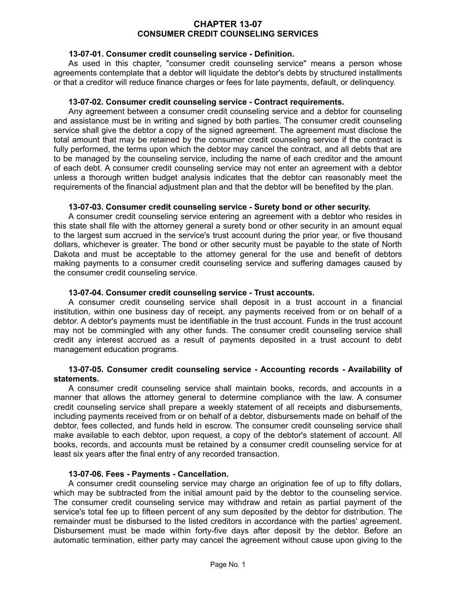## **CHAPTER 13-07 CONSUMER CREDIT COUNSELING SERVICES**

## **13-07-01. Consumer credit counseling service - Definition.**

As used in this chapter, "consumer credit counseling service" means a person whose agreements contemplate that a debtor will liquidate the debtor's debts by structured installments or that a creditor will reduce finance charges or fees for late payments, default, or delinquency.

## **13-07-02. Consumer credit counseling service - Contract requirements.**

Any agreement between a consumer credit counseling service and a debtor for counseling and assistance must be in writing and signed by both parties. The consumer credit counseling service shall give the debtor a copy of the signed agreement. The agreement must disclose the total amount that may be retained by the consumer credit counseling service if the contract is fully performed, the terms upon which the debtor may cancel the contract, and all debts that are to be managed by the counseling service, including the name of each creditor and the amount of each debt. A consumer credit counseling service may not enter an agreement with a debtor unless a thorough written budget analysis indicates that the debtor can reasonably meet the requirements of the financial adjustment plan and that the debtor will be benefited by the plan.

## **13-07-03. Consumer credit counseling service - Surety bond or other security.**

A consumer credit counseling service entering an agreement with a debtor who resides in this state shall file with the attorney general a surety bond or other security in an amount equal to the largest sum accrued in the service's trust account during the prior year, or five thousand dollars, whichever is greater. The bond or other security must be payable to the state of North Dakota and must be acceptable to the attorney general for the use and benefit of debtors making payments to a consumer credit counseling service and suffering damages caused by the consumer credit counseling service.

# **13-07-04. Consumer credit counseling service - Trust accounts.**

A consumer credit counseling service shall deposit in a trust account in a financial institution, within one business day of receipt, any payments received from or on behalf of a debtor. A debtor's payments must be identifiable in the trust account. Funds in the trust account may not be commingled with any other funds. The consumer credit counseling service shall credit any interest accrued as a result of payments deposited in a trust account to debt management education programs.

## **13-07-05. Consumer credit counseling service - Accounting records - Availability of statements.**

A consumer credit counseling service shall maintain books, records, and accounts in a manner that allows the attorney general to determine compliance with the law. A consumer credit counseling service shall prepare a weekly statement of all receipts and disbursements, including payments received from or on behalf of a debtor, disbursements made on behalf of the debtor, fees collected, and funds held in escrow. The consumer credit counseling service shall make available to each debtor, upon request, a copy of the debtor's statement of account. All books, records, and accounts must be retained by a consumer credit counseling service for at least six years after the final entry of any recorded transaction.

### **13-07-06. Fees - Payments - Cancellation.**

A consumer credit counseling service may charge an origination fee of up to fifty dollars, which may be subtracted from the initial amount paid by the debtor to the counseling service. The consumer credit counseling service may withdraw and retain as partial payment of the service's total fee up to fifteen percent of any sum deposited by the debtor for distribution. The remainder must be disbursed to the listed creditors in accordance with the parties' agreement. Disbursement must be made within forty-five days after deposit by the debtor. Before an automatic termination, either party may cancel the agreement without cause upon giving to the